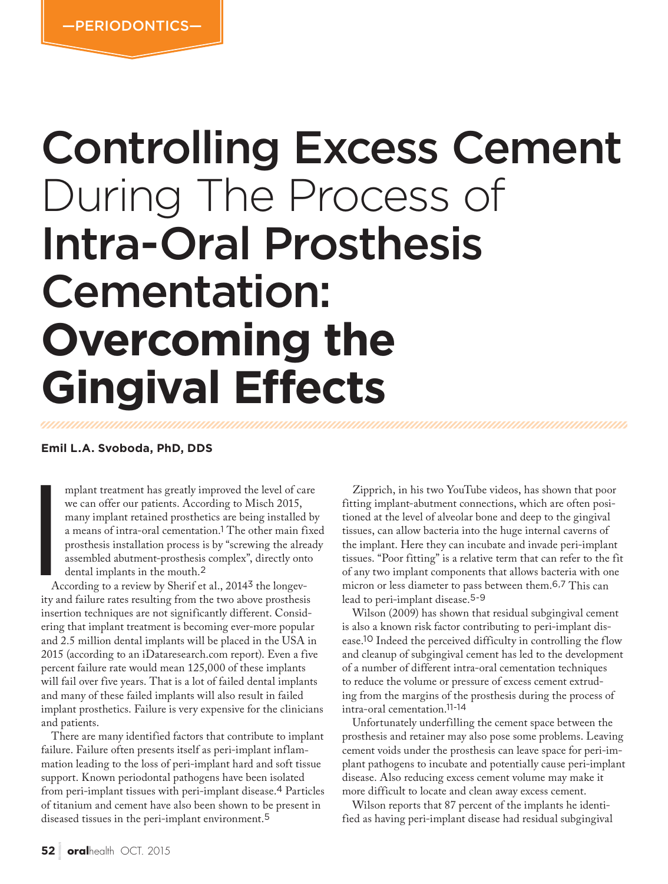# Controlling Excess Cement During The Process of Intra-Oral Prosthesis Cementation: **Overcoming the Gingival Effects**

**Emil L.A. Svoboda, PhD, DDS**

mplant treatment has greatly improved the level of care we can offer our patients. According to Misch 2015, many implant retained prosthetics are being installed by a means of intra-oral cementation.1 The other main fixed prosthesis installation process is by "screwing the already assembled abutment-prosthesis complex", directly onto dental implants in the mouth.<sup>2</sup>

**I**<br>Ac<br>ity ar According to a review by Sherif et al., 20143 the longevity and failure rates resulting from the two above prosthesis insertion techniques are not significantly different. Considering that implant treatment is becoming ever-more popular and 2.5 million dental implants will be placed in the USA in 2015 (according to an iDataresearch.com report). Even a five percent failure rate would mean 125,000 of these implants will fail over five years. That is a lot of failed dental implants and many of these failed implants will also result in failed implant prosthetics. Failure is very expensive for the clinicians and patients.

There are many identified factors that contribute to implant failure. Failure often presents itself as peri-implant inflammation leading to the loss of peri-implant hard and soft tissue support. Known periodontal pathogens have been isolated from peri-implant tissues with peri-implant disease.4 Particles of titanium and cement have also been shown to be present in diseased tissues in the peri-implant environment.<sup>5</sup>

Zipprich, in his two YouTube videos, has shown that poor fitting implant-abutment connections, which are often positioned at the level of alveolar bone and deep to the gingival tissues, can allow bacteria into the huge internal caverns of the implant. Here they can incubate and invade peri-implant tissues. "Poor fitting" is a relative term that can refer to the fit of any two implant components that allows bacteria with one micron or less diameter to pass between them.6,7 This can lead to peri-implant disease.5-9

Wilson (2009) has shown that residual subgingival cement is also a known risk factor contributing to peri-implant disease.10 Indeed the perceived difficulty in controlling the flow and cleanup of subgingival cement has led to the development of a number of different intra-oral cementation techniques to reduce the volume or pressure of excess cement extruding from the margins of the prosthesis during the process of intra-oral cementation.11-14

Unfortunately underfilling the cement space between the prosthesis and retainer may also pose some problems. Leaving cement voids under the prosthesis can leave space for peri-implant pathogens to incubate and potentially cause peri-implant disease. Also reducing excess cement volume may make it more difficult to locate and clean away excess cement.

Wilson reports that 87 percent of the implants he identified as having peri-implant disease had residual subgingival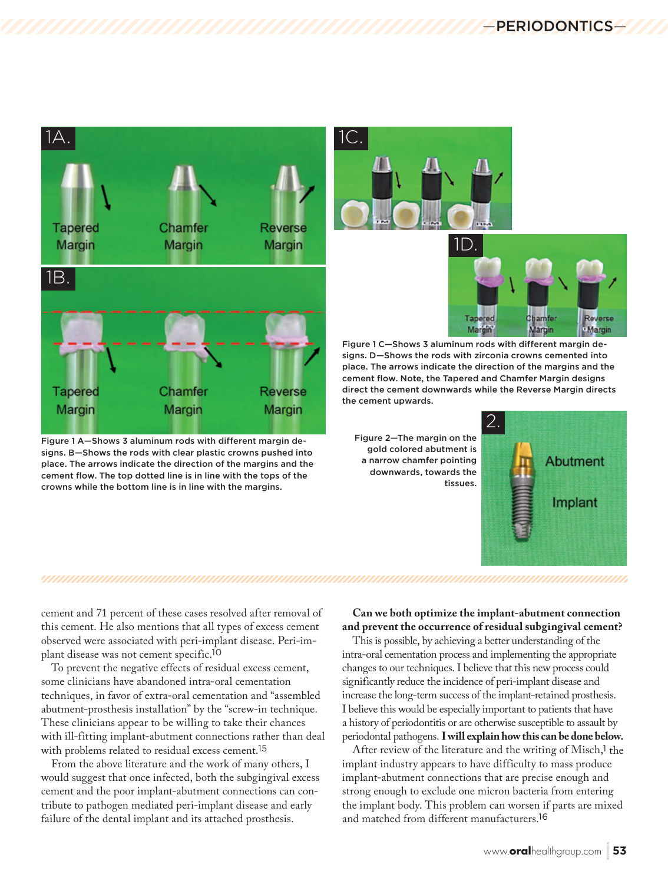

Figure 1 A—Shows 3 aluminum rods with different margin designs. B—Shows the rods with clear plastic crowns pushed into place. The arrows indicate the direction of the margins and the cement flow. The top dotted line is in line with the tops of the crowns while the bottom line is in line with the margins.





Figure 1 C—Shows 3 aluminum rods with different margin designs. D—Shows the rods with zirconia crowns cemented into place. The arrows indicate the direction of the margins and the cement flow. Note, the Tapered and Chamfer Margin designs direct the cement downwards while the Reverse Margin directs the cement upwards.

Figure 2—The margin on the gold colored abutment is a narrow chamfer pointing downwards, towards the tissues.



cement and 71 percent of these cases resolved after removal of

this cement. He also mentions that all types of excess cement observed were associated with peri-implant disease. Peri-implant disease was not cement specific.<sup>10</sup>

To prevent the negative effects of residual excess cement, some clinicians have abandoned intra-oral cementation techniques, in favor of extra-oral cementation and "assembled abutment-prosthesis installation" by the "screw-in technique. These clinicians appear to be willing to take their chances with ill-fitting implant-abutment connections rather than deal with problems related to residual excess cement.<sup>15</sup>

From the above literature and the work of many others, I would suggest that once infected, both the subgingival excess cement and the poor implant-abutment connections can contribute to pathogen mediated peri-implant disease and early failure of the dental implant and its attached prosthesis.

### **Can we both optimize the implant-abutment connection and prevent the occurrence of residual subgingival cement?**

This is possible, by achieving a better understanding of the intra-oral cementation process and implementing the appropriate changes to our techniques. I believe that this new process could significantly reduce the incidence of peri-implant disease and increase the long-term success of the implant-retained prosthesis. I believe this would be especially important to patients that have a history of periodontitis or are otherwise susceptible to assault by periodontal pathogens. **I will explain how this can be done below.**

After review of the literature and the writing of Misch,<sup>1</sup> the implant industry appears to have difficulty to mass produce implant-abutment connections that are precise enough and strong enough to exclude one micron bacteria from entering the implant body. This problem can worsen if parts are mixed and matched from different manufacturers.<sup>16</sup>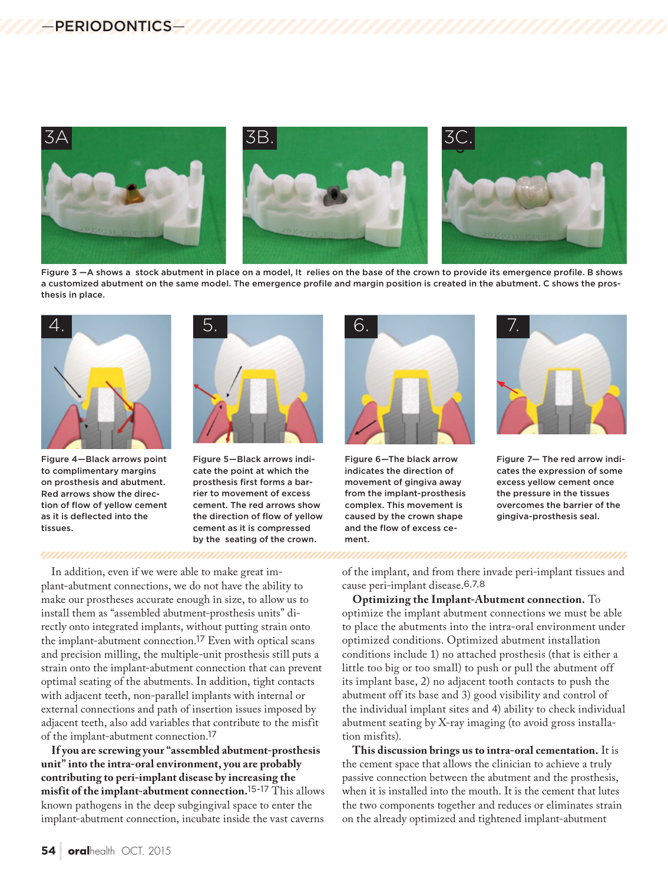

Figure 3 –A shows a stock abutment in place on a model, It relies on the base of the crown to provide its emergence profile. B shows a customized abutment on the same model. The emergence profile and margin position is created in the abutment. C shows the prosthesis in place.



Figure 4—Black arrows point to complimentary margins on prosthesis and abutment. Red arrows show the direction of flow of yellow cement as it is deflected into the tissues.



Figure 5—Black arrows indicate the point at which the prosthesis first forms a barrier to movement of excess cement. The red arrows show the direction of flow of yellow cement as it is compressed by the seating of the crown.

![](_page_2_Picture_7.jpeg)

Figure 6—The black arrow indicates the direction of movement of gingiva away from the implant-prosthesis complex. This movement is caused by the crown shape and the flow of excess cement.

![](_page_2_Picture_9.jpeg)

Figure 7— The red arrow indicates the expression of some excess yellow cement once the pressure in the tissues overcomes the barrier of the gingiva-prosthesis seal.

In addition, even if we were able to make great implant-abutment connections, we do not have the ability to make our prostheses accurate enough in size, to allow us to install them as "assembled abutment-prosthesis units" directly onto integrated implants, without putting strain onto the implant-abutment connection.17 Even with optical scans and precision milling, the multiple-unit prosthesis still puts a strain onto the implant-abutment connection that can prevent optimal seating of the abutments. In addition, tight contacts with adjacent teeth, non-parallel implants with internal or external connections and path of insertion issues imposed by adjacent teeth, also add variables that contribute to the misfit of the implant-abutment connection.<sup>17</sup>

<u> MAANAANAMAANAANAANAANAANAANAANAAN</u>

**If you are screwing your "assembled abutment-prosthesis unit" into the intra-oral environment, you are probably contributing to peri-implant disease by increasing the misfit of the implant-abutment connection.**15-17 This allows known pathogens in the deep subgingival space to enter the implant-abutment connection, incubate inside the vast caverns

of the implant, and from there invade peri-implant tissues and cause peri-implant disease.6,7,8

**Optimizing the Implant-Abutment connection.** To optimize the implant abutment connections we must be able to place the abutments into the intra-oral environment under optimized conditions. Optimized abutment installation conditions include 1) no attached prosthesis (that is either a little too big or too small) to push or pull the abutment off its implant base, 2) no adjacent tooth contacts to push the abutment off its base and 3) good visibility and control of the individual implant sites and 4) ability to check individual abutment seating by X-ray imaging (to avoid gross installation misfits).

**This discussion brings us to intra-oral cementation.** It is the cement space that allows the clinician to achieve a truly passive connection between the abutment and the prosthesis, when it is installed into the mouth. It is the cement that lutes the two components together and reduces or eliminates strain on the already optimized and tightened implant-abutment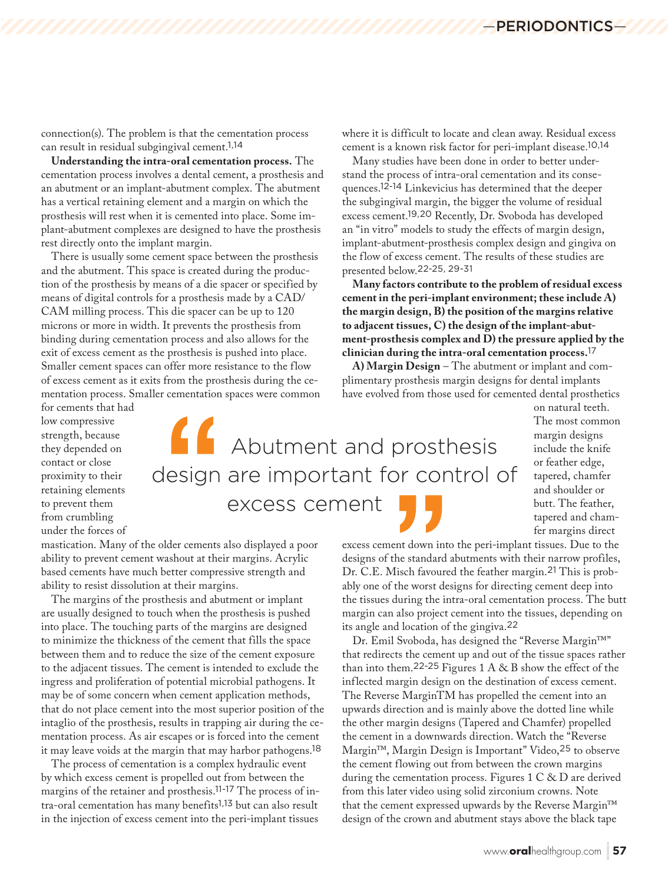connection(s). The problem is that the cementation process can result in residual subgingival cement.1,14

**Understanding the intra-oral cementation process.** The cementation process involves a dental cement, a prosthesis and an abutment or an implant-abutment complex. The abutment has a vertical retaining element and a margin on which the prosthesis will rest when it is cemented into place. Some implant-abutment complexes are designed to have the prosthesis rest directly onto the implant margin.

There is usually some cement space between the prosthesis and the abutment. This space is created during the production of the prosthesis by means of a die spacer or specified by means of digital controls for a prosthesis made by a CAD/ CAM milling process. This die spacer can be up to 120 microns or more in width. It prevents the prosthesis from binding during cementation process and also allows for the exit of excess cement as the prosthesis is pushed into place. Smaller cement spaces can offer more resistance to the flow of excess cement as it exits from the prosthesis during the cementation process. Smaller cementation spaces were common where it is difficult to locate and clean away. Residual excess cement is a known risk factor for peri-implant disease.10,14

Many studies have been done in order to better understand the process of intra-oral cementation and its consequences.12-14 Linkevicius has determined that the deeper the subgingival margin, the bigger the volume of residual excess cement.19,20 Recently, Dr. Svoboda has developed an "in vitro" models to study the effects of margin design, implant-abutment-prosthesis complex design and gingiva on the flow of excess cement. The results of these studies are presented below.22-25, 29-31

**Many factors contribute to the problem of residual excess cement in the peri-implant environment; these include A) the margin design, B) the position of the margins relative to adjacent tissues, C) the design of the implant-abutment-prosthesis complex and D) the pressure applied by the clinician during the intra-oral cementation process.**<sup>17</sup>

**A) Margin Design** – The abutment or implant and complimentary prosthesis margin designs for dental implants have evolved from those used for cemented dental prosthetics

for cements that had low compressive strength, because they depended on contact or close proximity to their retaining elements to prevent them from crumbling under the forces of

 Abutment and prosthesis design are important for control of excess cement

The most common margin designs include the knife or feather edge, tapered, chamfer and shoulder or butt. The feather, tapered and chamfer margins direct

on natural teeth.

mastication. Many of the older cements also displayed a poor ability to prevent cement washout at their margins. Acrylic based cements have much better compressive strength and ability to resist dissolution at their margins.

The margins of the prosthesis and abutment or implant are usually designed to touch when the prosthesis is pushed into place. The touching parts of the margins are designed to minimize the thickness of the cement that fills the space between them and to reduce the size of the cement exposure to the adjacent tissues. The cement is intended to exclude the ingress and proliferation of potential microbial pathogens. It may be of some concern when cement application methods, that do not place cement into the most superior position of the intaglio of the prosthesis, results in trapping air during the cementation process. As air escapes or is forced into the cement it may leave voids at the margin that may harbor pathogens.<sup>18</sup>

The process of cementation is a complex hydraulic event by which excess cement is propelled out from between the margins of the retainer and prosthesis.11-17 The process of intra-oral cementation has many benefits1,13 but can also result in the injection of excess cement into the peri-implant tissues

excess cement down into the peri-implant tissues. Due to the designs of the standard abutments with their narrow profiles, Dr. C.E. Misch favoured the feather margin.21 This is probably one of the worst designs for directing cement deep into the tissues during the intra-oral cementation process. The butt margin can also project cement into the tissues, depending on its angle and location of the gingiva.<sup>22</sup>

Dr. Emil Svoboda, has designed the "Reverse Margin™" that redirects the cement up and out of the tissue spaces rather than into them.<sup>22-25</sup> Figures  $1 A & B$  show the effect of the inflected margin design on the destination of excess cement. The Reverse MarginTM has propelled the cement into an upwards direction and is mainly above the dotted line while the other margin designs (Tapered and Chamfer) propelled the cement in a downwards direction. Watch the "Reverse Margin™, Margin Design is Important" Video,25 to observe the cement flowing out from between the crown margins during the cementation process. Figures 1 C & D are derived from this later video using solid zirconium crowns. Note that the cement expressed upwards by the Reverse Margin™ design of the crown and abutment stays above the black tape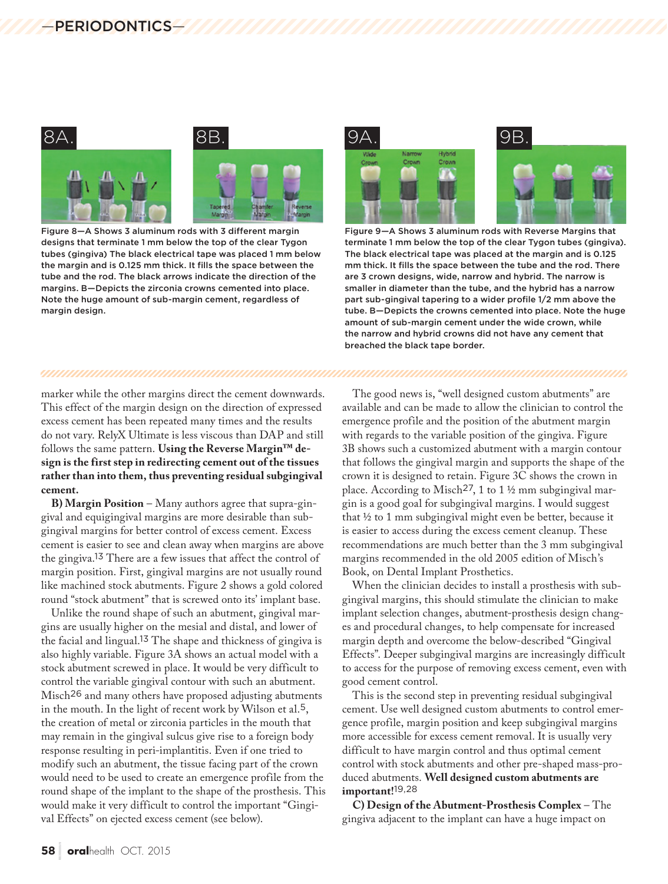![](_page_4_Figure_1.jpeg)

Figure 8—A Shows 3 aluminum rods with 3 different margin designs that terminate 1 mm below the top of the clear Tygon tubes (gingiva) The black electrical tape was placed 1 mm below the margin and is 0.125 mm thick. It fills the space between the tube and the rod. The black arrows indicate the direction of the margins. B—Depicts the zirconia crowns cemented into place. Note the huge amount of sub-margin cement, regardless of margin design.

![](_page_4_Figure_3.jpeg)

Figure 9—A Shows 3 aluminum rods with Reverse Margins that terminate 1 mm below the top of the clear Tygon tubes (gingiva). The black electrical tape was placed at the margin and is 0.125 mm thick. It fills the space between the tube and the rod. There are 3 crown designs, wide, narrow and hybrid. The narrow is smaller in diameter than the tube, and the hybrid has a narrow part sub-gingival tapering to a wider profile 1/2 mm above the tube. B—Depicts the crowns cemented into place. Note the huge amount of sub-margin cement under the wide crown, while the narrow and hybrid crowns did not have any cement that breached the black tape border.

#### 

marker while the other margins direct the cement downwards. This effect of the margin design on the direction of expressed excess cement has been repeated many times and the results do not vary. RelyX Ultimate is less viscous than DAP and still follows the same pattern. **Using the Reverse Margin™ design is the first step in redirecting cement out of the tissues rather than into them, thus preventing residual subgingival cement.**

**B) Margin Position** – Many authors agree that supra-gingival and equigingival margins are more desirable than subgingival margins for better control of excess cement. Excess cement is easier to see and clean away when margins are above the gingiva.13 There are a few issues that affect the control of margin position. First, gingival margins are not usually round like machined stock abutments. Figure 2 shows a gold colored round "stock abutment" that is screwed onto its' implant base.

Unlike the round shape of such an abutment, gingival margins are usually higher on the mesial and distal, and lower of the facial and lingual.13 The shape and thickness of gingiva is also highly variable. Figure 3A shows an actual model with a stock abutment screwed in place. It would be very difficult to control the variable gingival contour with such an abutment. Misch26 and many others have proposed adjusting abutments in the mouth. In the light of recent work by Wilson et al.5, the creation of metal or zirconia particles in the mouth that may remain in the gingival sulcus give rise to a foreign body response resulting in peri-implantitis. Even if one tried to modify such an abutment, the tissue facing part of the crown would need to be used to create an emergence profile from the round shape of the implant to the shape of the prosthesis. This would make it very difficult to control the important "Gingival Effects" on ejected excess cement (see below).

The good news is, "well designed custom abutments" are available and can be made to allow the clinician to control the emergence profile and the position of the abutment margin with regards to the variable position of the gingiva. Figure 3B shows such a customized abutment with a margin contour that follows the gingival margin and supports the shape of the crown it is designed to retain. Figure 3C shows the crown in place. According to Misch27, 1 to 1 ½ mm subgingival margin is a good goal for subgingival margins. I would suggest that ½ to 1 mm subgingival might even be better, because it is easier to access during the excess cement cleanup. These recommendations are much better than the 3 mm subgingival margins recommended in the old 2005 edition of Misch's Book, on Dental Implant Prosthetics.

When the clinician decides to install a prosthesis with subgingival margins, this should stimulate the clinician to make implant selection changes, abutment-prosthesis design changes and procedural changes, to help compensate for increased margin depth and overcome the below-described "Gingival Effects". Deeper subgingival margins are increasingly difficult to access for the purpose of removing excess cement, even with good cement control.

This is the second step in preventing residual subgingival cement. Use well designed custom abutments to control emergence profile, margin position and keep subgingival margins more accessible for excess cement removal. It is usually very difficult to have margin control and thus optimal cement control with stock abutments and other pre-shaped mass-produced abutments. **Well designed custom abutments are important!**19,28

**C) Design of the Abutment-Prosthesis Complex** – The gingiva adjacent to the implant can have a huge impact on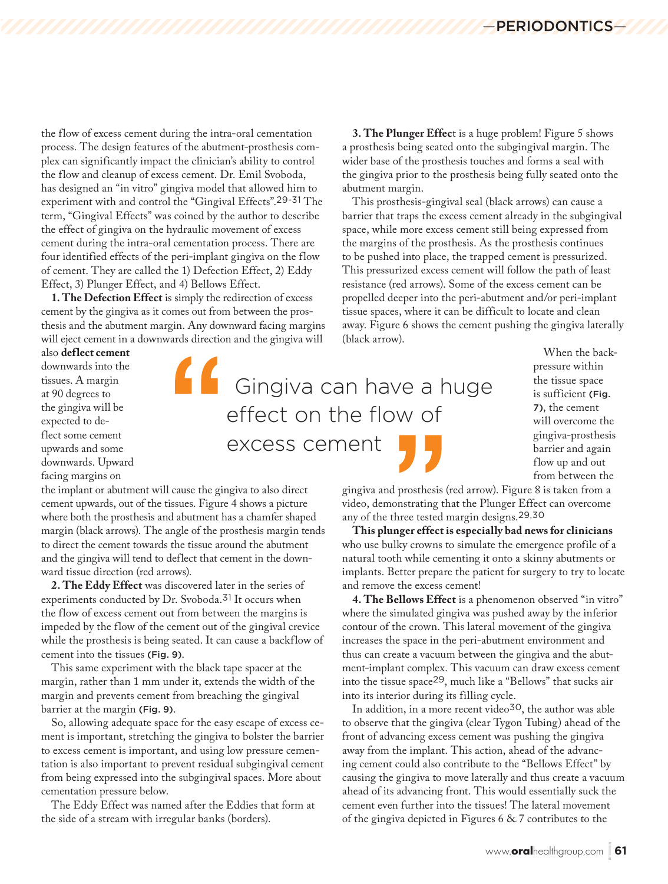the flow of excess cement during the intra-oral cementation process. The design features of the abutment-prosthesis complex can significantly impact the clinician's ability to control the flow and cleanup of excess cement. Dr. Emil Svoboda, has designed an "in vitro" gingiva model that allowed him to experiment with and control the "Gingival Effects".29-31 The term, "Gingival Effects" was coined by the author to describe the effect of gingiva on the hydraulic movement of excess cement during the intra-oral cementation process. There are four identified effects of the peri-implant gingiva on the flow of cement. They are called the 1) Defection Effect, 2) Eddy Effect, 3) Plunger Effect, and 4) Bellows Effect.

**1. The Defection Effect** is simply the redirection of excess cement by the gingiva as it comes out from between the prosthesis and the abutment margin. Any downward facing margins will eject cement in a downwards direction and the gingiva will

also **deflect cement** downwards into the tissues. A margin at 90 degrees to the gingiva will be expected to deflect some cement upwards and some downwards. Upward facing margins on

the implant or abutment will cause the gingiva to also direct cement upwards, out of the tissues. Figure 4 shows a picture where both the prosthesis and abutment has a chamfer shaped margin (black arrows). The angle of the prosthesis margin tends to direct the cement towards the tissue around the abutment and the gingiva will tend to deflect that cement in the downward tissue direction (red arrows).

**2. The Eddy Effect** was discovered later in the series of experiments conducted by Dr. Svoboda.31 It occurs when the flow of excess cement out from between the margins is impeded by the flow of the cement out of the gingival crevice while the prosthesis is being seated. It can cause a backflow of cement into the tissues (Fig. 9).

This same experiment with the black tape spacer at the margin, rather than 1 mm under it, extends the width of the margin and prevents cement from breaching the gingival barrier at the margin (Fig. 9).

So, allowing adequate space for the easy escape of excess cement is important, stretching the gingiva to bolster the barrier to excess cement is important, and using low pressure cementation is also important to prevent residual subgingival cement from being expressed into the subgingival spaces. More about cementation pressure below.

The Eddy Effect was named after the Eddies that form at the side of a stream with irregular banks (borders).

**3. The Plunger Effec**t is a huge problem! Figure 5 shows a prosthesis being seated onto the subgingival margin. The wider base of the prosthesis touches and forms a seal with the gingiva prior to the prosthesis being fully seated onto the abutment margin.

This prosthesis-gingival seal (black arrows) can cause a barrier that traps the excess cement already in the subgingival space, while more excess cement still being expressed from the margins of the prosthesis. As the prosthesis continues to be pushed into place, the trapped cement is pressurized. This pressurized excess cement will follow the path of least resistance (red arrows). Some of the excess cement can be propelled deeper into the peri-abutment and/or peri-implant tissue spaces, where it can be difficult to locate and clean away. Figure 6 shows the cement pushing the gingiva laterally (black arrow).

 Gingiva can have a huge effect on the flow of excess cement

When the backpressure within the tissue space is sufficient (Fig. 7), the cement will overcome the gingiva-prosthesis barrier and again flow up and out from between the

gingiva and prosthesis (red arrow). Figure 8 is taken from a video, demonstrating that the Plunger Effect can overcome any of the three tested margin designs.29,30

**This plunger effect is especially bad news for clinicians** who use bulky crowns to simulate the emergence profile of a natural tooth while cementing it onto a skinny abutments or implants. Better prepare the patient for surgery to try to locate and remove the excess cement!

**4. The Bellows Effect** is a phenomenon observed "in vitro" where the simulated gingiva was pushed away by the inferior contour of the crown. This lateral movement of the gingiva increases the space in the peri-abutment environment and thus can create a vacuum between the gingiva and the abutment-implant complex. This vacuum can draw excess cement into the tissue space29, much like a "Bellows" that sucks air into its interior during its filling cycle.

In addition, in a more recent video<sup>30</sup>, the author was able to observe that the gingiva (clear Tygon Tubing) ahead of the front of advancing excess cement was pushing the gingiva away from the implant. This action, ahead of the advancing cement could also contribute to the "Bellows Effect" by causing the gingiva to move laterally and thus create a vacuum ahead of its advancing front. This would essentially suck the cement even further into the tissues! The lateral movement of the gingiva depicted in Figures 6 & 7 contributes to the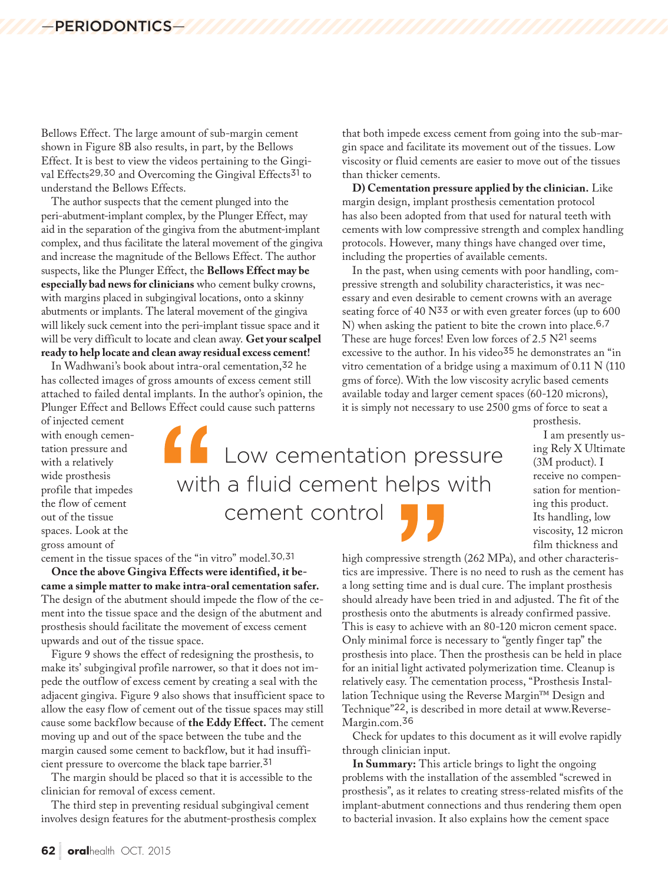Bellows Effect. The large amount of sub-margin cement shown in Figure 8B also results, in part, by the Bellows Effect. It is best to view the videos pertaining to the Gingival Effects<sup>29,30</sup> and Overcoming the Gingival Effects<sup>31</sup> to understand the Bellows Effects.

The author suspects that the cement plunged into the peri-abutment-implant complex, by the Plunger Effect, may aid in the separation of the gingiva from the abutment-implant complex, and thus facilitate the lateral movement of the gingiva and increase the magnitude of the Bellows Effect. The author suspects, like the Plunger Effect, the **Bellows Effect may be especially bad news for clinicians** who cement bulky crowns, with margins placed in subgingival locations, onto a skinny abutments or implants. The lateral movement of the gingiva will likely suck cement into the peri-implant tissue space and it will be very difficult to locate and clean away. **Get your scalpel ready to help locate and clean away residual excess cement!**

In Wadhwani's book about intra-oral cementation,32 he has collected images of gross amounts of excess cement still attached to failed dental implants. In the author's opinion, the Plunger Effect and Bellows Effect could cause such patterns

that both impede excess cement from going into the sub-margin space and facilitate its movement out of the tissues. Low viscosity or fluid cements are easier to move out of the tissues than thicker cements.

**D) Cementation pressure applied by the clinician.** Like margin design, implant prosthesis cementation protocol has also been adopted from that used for natural teeth with cements with low compressive strength and complex handling protocols. However, many things have changed over time, including the properties of available cements.

In the past, when using cements with poor handling, compressive strength and solubility characteristics, it was necessary and even desirable to cement crowns with an average seating force of 40 N<sup>33</sup> or with even greater forces (up to 600 N) when asking the patient to bite the crown into place.6,7 These are huge forces! Even low forces of 2.5 N<sup>21</sup> seems excessive to the author. In his video<sup>35</sup> he demonstrates an "in vitro cementation of a bridge using a maximum of 0.11 N (110 gms of force). With the low viscosity acrylic based cements available today and larger cement spaces (60-120 microns), it is simply not necessary to use 2500 gms of force to seat a

prosthesis.

I am presently using Rely X Ultimate (3M product). I receive no compensation for mentioning this product. Its handling, low viscosity, 12 micron film thickness and

of injected cement with enough cementation pressure and with a relatively wide prosthesis profile that impedes the flow of cement out of the tissue spaces. Look at the gross amount of

cement in the tissue spaces of the "in vitro" model.30,31

**Once the above Gingiva Effects were identified, it became a simple matter to make intra-oral cementation safer.** The design of the abutment should impede the flow of the cement into the tissue space and the design of the abutment and prosthesis should facilitate the movement of excess cement upwards and out of the tissue space.

Figure 9 shows the effect of redesigning the prosthesis, to make its' subgingival profile narrower, so that it does not impede the outflow of excess cement by creating a seal with the adjacent gingiva. Figure 9 also shows that insufficient space to allow the easy flow of cement out of the tissue spaces may still cause some backflow because of **the Eddy Effect.** The cement moving up and out of the space between the tube and the margin caused some cement to backflow, but it had insufficient pressure to overcome the black tape barrier.<sup>31</sup>

The margin should be placed so that it is accessible to the clinician for removal of excess cement.

The third step in preventing residual subgingival cement involves design features for the abutment-prosthesis complex

 Low cementation pressure with a fluid cement helps with cement control

> high compressive strength (262 MPa), and other characteristics are impressive. There is no need to rush as the cement has a long setting time and is dual cure. The implant prosthesis should already have been tried in and adjusted. The fit of the prosthesis onto the abutments is already confirmed passive. This is easy to achieve with an 80-120 micron cement space. Only minimal force is necessary to "gently finger tap" the prosthesis into place. Then the prosthesis can be held in place for an initial light activated polymerization time. Cleanup is relatively easy. The cementation process, "Prosthesis Installation Technique using the Reverse Margin™ Design and Technique"22, is described in more detail at www.Reverse-Margin.com.<sup>36</sup>

> Check for updates to this document as it will evolve rapidly through clinician input.

> **In Summary:** This article brings to light the ongoing problems with the installation of the assembled "screwed in prosthesis", as it relates to creating stress-related misfits of the implant-abutment connections and thus rendering them open to bacterial invasion. It also explains how the cement space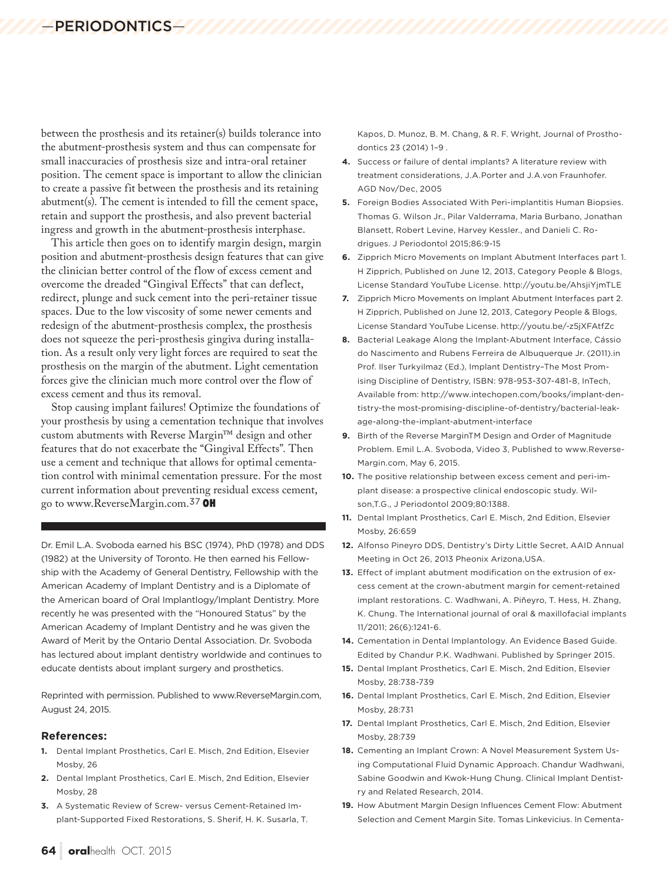between the prosthesis and its retainer(s) builds tolerance into the abutment-prosthesis system and thus can compensate for small inaccuracies of prosthesis size and intra-oral retainer position. The cement space is important to allow the clinician to create a passive fit between the prosthesis and its retaining abutment(s). The cement is intended to fill the cement space, retain and support the prosthesis, and also prevent bacterial ingress and growth in the abutment-prosthesis interphase.

This article then goes on to identify margin design, margin position and abutment-prosthesis design features that can give the clinician better control of the flow of excess cement and overcome the dreaded "Gingival Effects" that can deflect, redirect, plunge and suck cement into the peri-retainer tissue spaces. Due to the low viscosity of some newer cements and redesign of the abutment-prosthesis complex, the prosthesis does not squeeze the peri-prosthesis gingiva during installation. As a result only very light forces are required to seat the prosthesis on the margin of the abutment. Light cementation forces give the clinician much more control over the flow of excess cement and thus its removal.

Stop causing implant failures! Optimize the foundations of your prosthesis by using a cementation technique that involves custom abutments with Reverse Margin™ design and other features that do not exacerbate the "Gingival Effects". Then use a cement and technique that allows for optimal cementation control with minimal cementation pressure. For the most current information about preventing residual excess cement, go to www.ReverseMargin.com.<sup>37</sup>

Dr. Emil L.A. Svoboda earned his BSC (1974), PhD (1978) and DDS (1982) at the University of Toronto. He then earned his Fellowship with the Academy of General Dentistry, Fellowship with the American Academy of Implant Dentistry and is a Diplomate of the American board of Oral Implantlogy/Implant Dentistry. More recently he was presented with the "Honoured Status" by the American Academy of Implant Dentistry and he was given the Award of Merit by the Ontario Dental Association. Dr. Svoboda has lectured about implant dentistry worldwide and continues to educate dentists about implant surgery and prosthetics.

Reprinted with permission. Published to www.ReverseMargin.com, August 24, 2015.

#### **References:**

- **1.** Dental Implant Prosthetics, Carl E. Misch, 2nd Edition, Elsevier Mosby, 26
- **2.** Dental Implant Prosthetics, Carl E. Misch, 2nd Edition, Elsevier Mosby, 28
- **3.** A Systematic Review of Screw- versus Cement-Retained Implant-Supported Fixed Restorations, S. Sherif, H. K. Susarla, T.

Kapos, D. Munoz, B. M. Chang, & R. F. Wright, Journal of Prosthodontics 23 (2014) 1–9 .

- **4.** Success or failure of dental implants? A literature review with treatment considerations, J.A.Porter and J.A.von Fraunhofer. AGD Nov/Dec, 2005
- **5.** Foreign Bodies Associated With Peri-implantitis Human Biopsies. Thomas G. Wilson Jr., Pilar Valderrama, Maria Burbano, Jonathan Blansett, Robert Levine, Harvey Kessler., and Danieli C. Rodrigues. J Periodontol 2015;86:9-15
- **6.** Zipprich Micro Movements on Implant Abutment Interfaces part 1. H Zipprich, Published on June 12, 2013, Category People & Blogs, License Standard YouTube License. http://youtu.be/AhsjiYjmTLE
- **7.** Zipprich Micro Movements on Implant Abutment Interfaces part 2. H Zipprich, Published on June 12, 2013, Category People & Blogs, License Standard YouTube License. http://youtu.be/-z5jXFAtfZc
- **8.** Bacterial Leakage Along the Implant-Abutment Interface, Cássio do Nascimento and Rubens Ferreira de Albuquerque Jr. (2011).in Prof. Ilser Turkyilmaz (Ed.), Implant Dentistry–The Most Promising Discipline of Dentistry, ISBN: 978-953-307-481-8, InTech, Available from: http://www.intechopen.com/books/implant-dentistry-the most-promising-discipline-of-dentistry/bacterial-leakage-along-the-implant-abutment-interface
- **9.** Birth of the Reverse MarginTM Design and Order of Magnitude Problem. Emil L.A. Svoboda, Video 3, Published to www.Reverse-Margin.com, May 6, 2015.
- **10.** The positive relationship between excess cement and peri-implant disease: a prospective clinical endoscopic study. Wilson,T.G., J Periodontol 2009;80:1388.
- **11.** Dental Implant Prosthetics, Carl E. Misch, 2nd Edition, Elsevier Mosby, 26:659
- **12.** Alfonso Pineyro DDS, Dentistry's Dirty Little Secret, AAID Annual Meeting in Oct 26, 2013 Pheonix Arizona,USA.
- **13.** Effect of implant abutment modification on the extrusion of excess cement at the crown-abutment margin for cement-retained implant restorations. C. Wadhwani, A. Piñeyro, T. Hess, H. Zhang, K. Chung. The International journal of oral & maxillofacial implants 11/2011; 26(6):1241-6.
- **14.** Cementation in Dental Implantology. An Evidence Based Guide. Edited by Chandur P.K. Wadhwani. Published by Springer 2015.
- **15.** Dental Implant Prosthetics, Carl E. Misch, 2nd Edition, Elsevier Mosby, 28:738-739
- **16.** Dental Implant Prosthetics, Carl E. Misch, 2nd Edition, Elsevier Mosby, 28:731
- **17.** Dental Implant Prosthetics, Carl E. Misch, 2nd Edition, Elsevier Mosby, 28:739
- **18.** Cementing an Implant Crown: A Novel Measurement System Using Computational Fluid Dynamic Approach. Chandur Wadhwani, Sabine Goodwin and Kwok-Hung Chung. Clinical Implant Dentistry and Related Research, 2014.
- **19.** How Abutment Margin Design Influences Cement Flow: Abutment Selection and Cement Margin Site. Tomas Linkevicius. In Cementa-